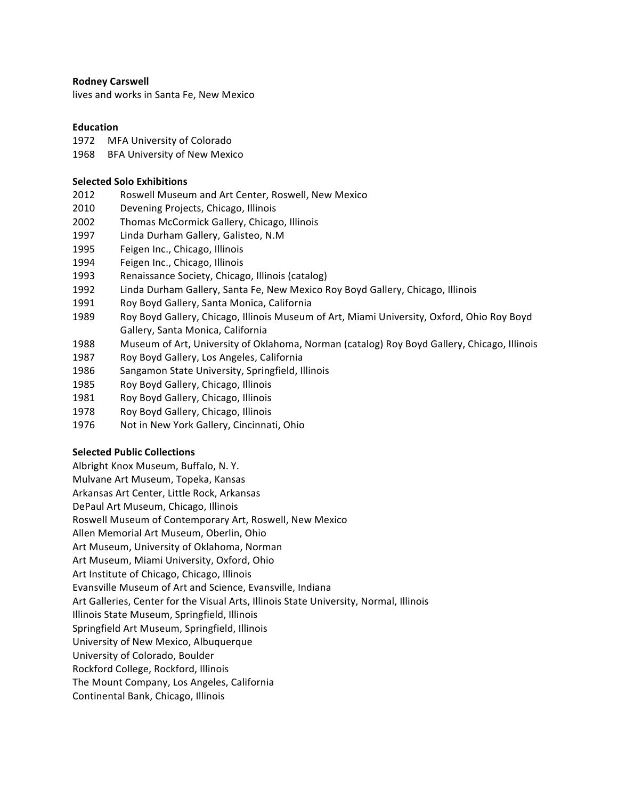## **Rodney Carswell**

lives and works in Santa Fe, New Mexico

## **Education**

- 1972 MFA University of Colorado
- 1968 BFA University of New Mexico

## **Selected Solo Exhibitions**

- 2012 Roswell Museum and Art Center, Roswell, New Mexico
- 2010 Devening Projects, Chicago, Illinois
- 2002 Thomas McCormick Gallery, Chicago, Illinois
- 1997 Linda Durham Gallery, Galisteo, N.M
- 1995 Feigen Inc., Chicago, Illinois
- 1994 Feigen Inc., Chicago, Illinois
- 1993 Renaissance Society, Chicago, Illinois (catalog)
- 1992 Linda Durham Gallery, Santa Fe, New Mexico Roy Boyd Gallery, Chicago, Illinois
- 1991 Roy Boyd Gallery, Santa Monica, California
- 1989 Roy Boyd Gallery, Chicago, Illinois Museum of Art, Miami University, Oxford, Ohio Roy Boyd Gallery, Santa Monica, California
- 1988 Museum of Art, University of Oklahoma, Norman (catalog) Roy Boyd Gallery, Chicago, Illinois
- 1987 Roy Boyd Gallery, Los Angeles, California
- 1986 Sangamon State University, Springfield, Illinois
- 1985 Roy Boyd Gallery, Chicago, Illinois
- 1981 Roy Boyd Gallery, Chicago, Illinois
- 1978 Roy Boyd Gallery, Chicago, Illinois
- 1976 Not in New York Gallery, Cincinnati, Ohio

## **Selected Public Collections**

Albright Knox Museum, Buffalo, N.Y. Mulvane Art Museum, Topeka, Kansas Arkansas Art Center, Little Rock, Arkansas DePaul Art Museum, Chicago, Illinois Roswell Museum of Contemporary Art, Roswell, New Mexico Allen Memorial Art Museum, Oberlin, Ohio Art Museum, University of Oklahoma, Norman Art Museum, Miami University, Oxford, Ohio Art Institute of Chicago, Chicago, Illinois Evansville Museum of Art and Science, Evansville, Indiana Art Galleries, Center for the Visual Arts, Illinois State University, Normal, Illinois Illinois State Museum, Springfield, Illinois Springfield Art Museum, Springfield, Illinois University of New Mexico, Albuquerque University of Colorado, Boulder Rockford College, Rockford, Illinois The Mount Company, Los Angeles, California Continental Bank, Chicago, Illinois